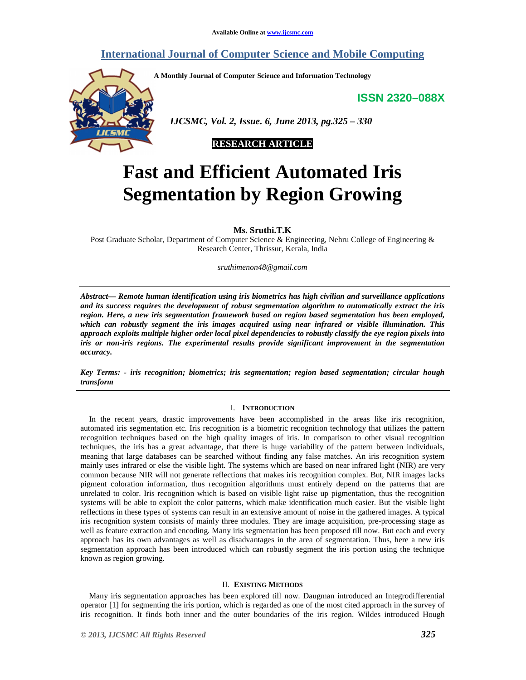# **International Journal of Computer Science and Mobile Computing**

**A Monthly Journal of Computer Science and Information Technology** 

**ISSN 2320–088X**



 *IJCSMC, Vol. 2, Issue. 6, June 2013, pg.325 – 330* 



# **Fast and Efficient Automated Iris Segmentation by Region Growing**

**Ms. Sruthi.T.K** 

Post Graduate Scholar, Department of Computer Science & Engineering, Nehru College of Engineering & Research Center, Thrissur, Kerala, India

*sruthimenon48@gmail.com* 

*Abstract— Remote human identification using iris biometrics has high civilian and surveillance applications and its success requires the development of robust segmentation algorithm to automatically extract the iris region. Here, a new iris segmentation framework based on region based segmentation has been employed, which can robustly segment the iris images acquired using near infrared or visible illumination. This approach exploits multiple higher order local pixel dependencies to robustly classify the eye region pixels into iris or non-iris regions. The experimental results provide significant improvement in the segmentation accuracy.* 

*Key Terms: - iris recognition; biometrics; iris segmentation; region based segmentation; circular hough transform* 

# I. **INTRODUCTION**

In the recent years, drastic improvements have been accomplished in the areas like iris recognition, automated iris segmentation etc. Iris recognition is a biometric recognition technology that utilizes the pattern recognition techniques based on the high quality images of iris. In comparison to other visual recognition techniques, the iris has a great advantage, that there is huge variability of the pattern between individuals, meaning that large databases can be searched without finding any false matches. An iris recognition system mainly uses infrared or else the visible light. The systems which are based on near infrared light (NIR) are very common because NIR will not generate reflections that makes iris recognition complex. But, NIR images lacks pigment coloration information, thus recognition algorithms must entirely depend on the patterns that are unrelated to color. Iris recognition which is based on visible light raise up pigmentation, thus the recognition systems will be able to exploit the color patterns, which make identification much easier. But the visible light reflections in these types of systems can result in an extensive amount of noise in the gathered images. A typical iris recognition system consists of mainly three modules. They are image acquisition, pre-processing stage as well as feature extraction and encoding. Many iris segmentation has been proposed till now. But each and every approach has its own advantages as well as disadvantages in the area of segmentation. Thus, here a new iris segmentation approach has been introduced which can robustly segment the iris portion using the technique known as region growing.

#### II. **EXISTING METHODS**

Many iris segmentation approaches has been explored till now. Daugman introduced an Integrodifferential operator [1] for segmenting the iris portion, which is regarded as one of the most cited approach in the survey of iris recognition. It finds both inner and the outer boundaries of the iris region. Wildes introduced Hough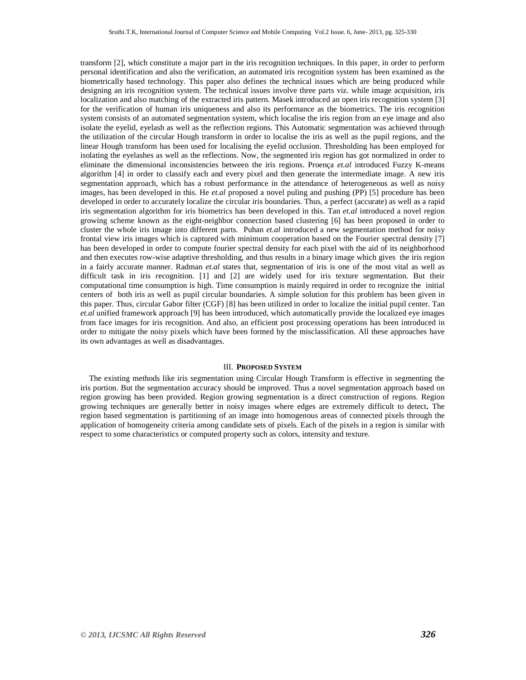transform [2], which constitute a major part in the iris recognition techniques. In this paper, in order to perform personal identification and also the verification, an automated iris recognition system has been examined as the biometrically based technology. This paper also defines the technical issues which are being produced while designing an iris recognition system. The technical issues involve three parts viz. while image acquisition, iris localization and also matching of the extracted iris pattern. Masek introduced an open iris recognition system [3] for the verification of human iris uniqueness and also its performance as the biometrics. The iris recognition system consists of an automated segmentation system, which localise the iris region from an eye image and also isolate the eyelid, eyelash as well as the reflection regions. This Automatic segmentation was achieved through the utilization of the circular Hough transform in order to localise the iris as well as the pupil regions, and the linear Hough transform has been used for localising the eyelid occlusion. Thresholding has been employed for isolating the eyelashes as well as the reflections. Now, the segmented iris region has got normalized in order to eliminate the dimensional inconsistencies between the iris regions. Proença *et.al* introduced Fuzzy K-means algorithm [4] in order to classify each and every pixel and then generate the intermediate image. A new iris segmentation approach, which has a robust performance in the attendance of heterogeneous as well as noisy images, has been developed in this. He *et.al* proposed a novel puling and pushing (PP) [5] procedure has been developed in order to accurately localize the circular iris boundaries. Thus, a perfect (accurate) as well as a rapid iris segmentation algorithm for iris biometrics has been developed in this. Tan *et.al* introduced a novel region growing scheme known as the eight-neighbor connection based clustering [6] has been proposed in order to cluster the whole iris image into different parts. Puhan *et.al* introduced a new segmentation method for noisy frontal view iris images which is captured with minimum cooperation based on the Fourier spectral density [7] has been developed in order to compute fourier spectral density for each pixel with the aid of its neighborhood and then executes row-wise adaptive thresholding, and thus results in a binary image which gives the iris region in a fairly accurate manner. Radman *et.al* states that, segmentation of iris is one of the most vital as well as difficult task in iris recognition. [1] and [2] are widely used for iris texture segmentation. But their computational time consumption is high. Time consumption is mainly required in order to recognize the initial centers of both iris as well as pupil circular boundaries. A simple solution for this problem has been given in this paper. Thus, circular Gabor filter (CGF) [8] has been utilized in order to localize the initial pupil center. Tan *et.al* unified framework approach [9] has been introduced, which automatically provide the localized eye images from face images for iris recognition. And also, an efficient post processing operations has been introduced in order to mitigate the noisy pixels which have been formed by the misclassification. All these approaches have its own advantages as well as disadvantages.

#### III. **PROPOSED SYSTEM**

The existing methods like iris segmentation using Circular Hough Transform is effective in segmenting the iris portion. But the segmentation accuracy should be improved. Thus a novel segmentation approach based on region growing has been provided. Region growing segmentation is a direct construction of regions. Region growing techniques are generally better in noisy images where edges are extremely difficult to detect**.** The region based segmentation is partitioning of an image into homogenous areas of connected pixels through the application of homogeneity criteria among candidate sets of pixels. Each of the pixels in a region is similar with respect to some characteristics or computed property such as colors, intensity and texture.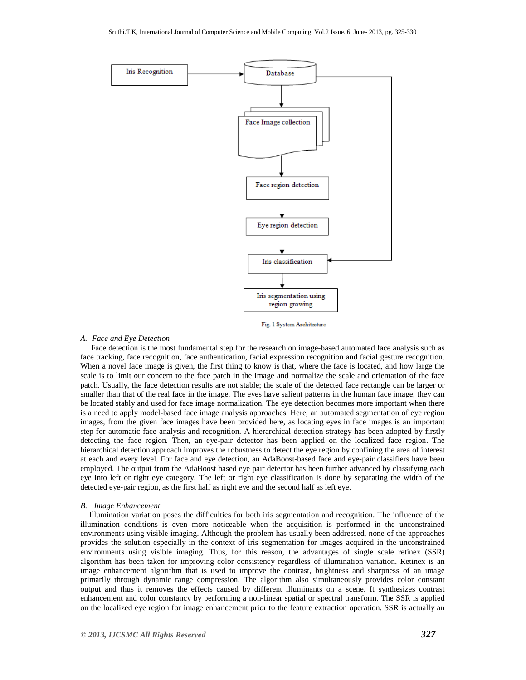

Fig. 1 System Architecture

# *A. Face and Eye Detection*

 Face detection is the most fundamental step for the research on image-based automated face analysis such as face tracking, face recognition, face authentication, facial expression recognition and facial gesture recognition. When a novel face image is given, the first thing to know is that, where the face is located, and how large the scale is to limit our concern to the face patch in the image and normalize the scale and orientation of the face patch. Usually, the face detection results are not stable; the scale of the detected face rectangle can be larger or smaller than that of the real face in the image. The eyes have salient patterns in the human face image, they can be located stably and used for face image normalization. The eye detection becomes more important when there is a need to apply model-based face image analysis approaches. Here, an automated segmentation of eye region images, from the given face images have been provided here, as locating eyes in face images is an important step for automatic face analysis and recognition. A hierarchical detection strategy has been adopted by firstly detecting the face region. Then, an eye-pair detector has been applied on the localized face region. The hierarchical detection approach improves the robustness to detect the eye region by confining the area of interest at each and every level. For face and eye detection, an AdaBoost-based face and eye-pair classifiers have been employed. The output from the AdaBoost based eye pair detector has been further advanced by classifying each eye into left or right eye category. The left or right eye classification is done by separating the width of the detected eye-pair region, as the first half as right eye and the second half as left eye.

#### *B. Image Enhancement*

Illumination variation poses the difficulties for both iris segmentation and recognition. The influence of the illumination conditions is even more noticeable when the acquisition is performed in the unconstrained environments using visible imaging. Although the problem has usually been addressed, none of the approaches provides the solution especially in the context of iris segmentation for images acquired in the unconstrained environments using visible imaging. Thus, for this reason, the advantages of single scale retinex (SSR) algorithm has been taken for improving color consistency regardless of illumination variation. Retinex is an image enhancement algorithm that is used to improve the contrast, brightness and sharpness of an image primarily through dynamic range compression. The algorithm also simultaneously provides color constant output and thus it removes the effects caused by different illuminants on a scene. It synthesizes contrast enhancement and color constancy by performing a non-linear spatial or spectral transform. The SSR is applied on the localized eye region for image enhancement prior to the feature extraction operation. SSR is actually an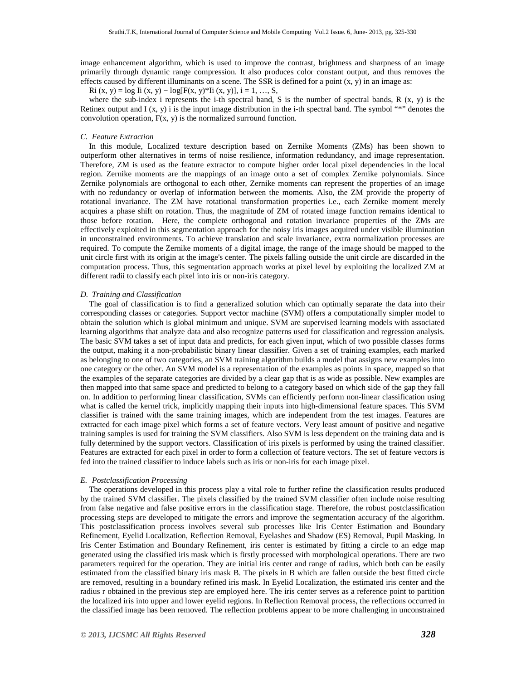image enhancement algorithm, which is used to improve the contrast, brightness and sharpness of an image primarily through dynamic range compression. It also produces color constant output, and thus removes the effects caused by different illuminants on a scene. The SSR is defined for a point  $(x, y)$  in an image as:

Ri (x, y) = log Ii (x, y) – log[F(x, y)\*Ii (x, y)], i = 1, …, S,

where the sub-index i represents the i-th spectral band, S is the number of spectral bands, R  $(x, y)$  is the Retinex output and  $I(x, y)$  i is the input image distribution in the i-th spectral band. The symbol "\*" denotes the convolution operation,  $F(x, y)$  is the normalized surround function.

# *C. Feature Extraction*

In this module, Localized texture description based on Zernike Moments (ZMs) has been shown to outperform other alternatives in terms of noise resilience, information redundancy, and image representation. Therefore, ZM is used as the feature extractor to compute higher order local pixel dependencies in the local region. Zernike moments are the mappings of an image onto a set of complex Zernike polynomials. Since Zernike polynomials are orthogonal to each other, Zernike moments can represent the properties of an image with no redundancy or overlap of information between the moments. Also, the ZM provide the property of rotational invariance. The ZM have rotational transformation properties i.e., each Zernike moment merely acquires a phase shift on rotation. Thus, the magnitude of ZM of rotated image function remains identical to those before rotation. Here, the complete orthogonal and rotation invariance properties of the ZMs are effectively exploited in this segmentation approach for the noisy iris images acquired under visible illumination in unconstrained environments. To achieve translation and scale invariance, extra normalization processes are required. To compute the Zernike moments of a digital image, the range of the image should be mapped to the unit circle first with its origin at the image's center. The pixels falling outside the unit circle are discarded in the computation process. Thus, this segmentation approach works at pixel level by exploiting the localized ZM at different radii to classify each pixel into iris or non-iris category.

# *D. Training and Classification*

The goal of classification is to find a generalized solution which can optimally separate the data into their corresponding classes or categories. Support vector machine (SVM) offers a computationally simpler model to obtain the solution which is global minimum and unique. SVM are supervised learning models with associated learning algorithms that analyze data and also recognize patterns used for classification and regression analysis. The basic SVM takes a set of input data and predicts, for each given input, which of two possible classes forms the output, making it a non-probabilistic binary linear classifier. Given a set of training examples, each marked as belonging to one of two categories, an SVM training algorithm builds a model that assigns new examples into one category or the other. An SVM model is a representation of the examples as points in space, mapped so that the examples of the separate categories are divided by a clear gap that is as wide as possible. New examples are then mapped into that same space and predicted to belong to a category based on which side of the gap they fall on. In addition to performing linear classification, SVMs can efficiently perform non-linear classification using what is called the kernel trick, implicitly mapping their inputs into high-dimensional feature spaces. This SVM classifier is trained with the same training images, which are independent from the test images. Features are extracted for each image pixel which forms a set of feature vectors. Very least amount of positive and negative training samples is used for training the SVM classifiers. Also SVM is less dependent on the training data and is fully determined by the support vectors. Classification of iris pixels is performed by using the trained classifier. Features are extracted for each pixel in order to form a collection of feature vectors. The set of feature vectors is fed into the trained classifier to induce labels such as iris or non-iris for each image pixel.

# *E. Postclassification Processing*

The operations developed in this process play a vital role to further refine the classification results produced by the trained SVM classifier. The pixels classified by the trained SVM classifier often include noise resulting from false negative and false positive errors in the classification stage. Therefore, the robust postclassification processing steps are developed to mitigate the errors and improve the segmentation accuracy of the algorithm. This postclassification process involves several sub processes like Iris Center Estimation and Boundary Refinement, Eyelid Localization, Reflection Removal, Eyelashes and Shadow (ES) Removal, Pupil Masking. In Iris Center Estimation and Boundary Refinement, iris center is estimated by fitting a circle to an edge map generated using the classified iris mask which is firstly processed with morphological operations. There are two parameters required for the operation. They are initial iris center and range of radius, which both can be easily estimated from the classified binary iris mask B. The pixels in B which are fallen outside the best fitted circle are removed, resulting in a boundary refined iris mask. In Eyelid Localization, the estimated iris center and the radius r obtained in the previous step are employed here. The iris center serves as a reference point to partition the localized iris into upper and lower eyelid regions. In Reflection Removal process, the reflections occurred in the classified image has been removed. The reflection problems appear to be more challenging in unconstrained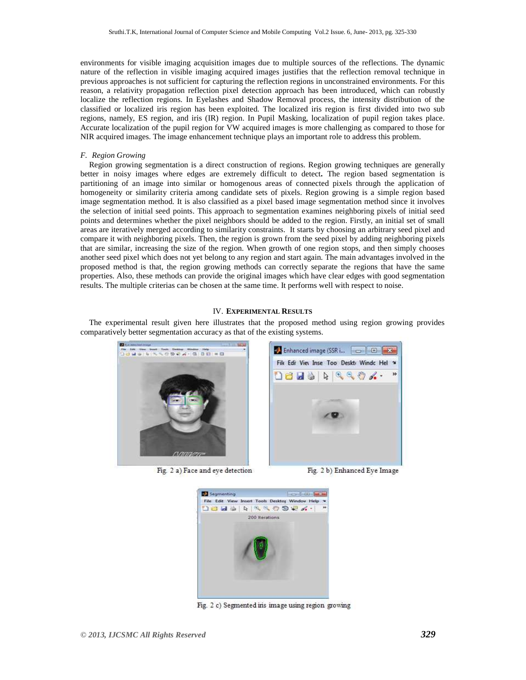environments for visible imaging acquisition images due to multiple sources of the reflections. The dynamic nature of the reflection in visible imaging acquired images justifies that the reflection removal technique in previous approaches is not sufficient for capturing the reflection regions in unconstrained environments. For this reason, a relativity propagation reflection pixel detection approach has been introduced, which can robustly localize the reflection regions. In Eyelashes and Shadow Removal process, the intensity distribution of the classified or localized iris region has been exploited. The localized iris region is first divided into two sub regions, namely, ES region, and iris (IR) region. In Pupil Masking, localization of pupil region takes place. Accurate localization of the pupil region for VW acquired images is more challenging as compared to those for NIR acquired images. The image enhancement technique plays an important role to address this problem.

# *F. Region Growing*

Region growing segmentation is a direct construction of regions. Region growing techniques are generally better in noisy images where edges are extremely difficult to detect**.** The region based segmentation is partitioning of an image into similar or homogenous areas of connected pixels through the application of homogeneity or similarity criteria among candidate sets of pixels. Region growing is a simple region based image segmentation method. It is also classified as a pixel based image segmentation method since it involves the selection of initial seed points. This approach to segmentation examines neighboring pixels of initial seed points and determines whether the pixel neighbors should be added to the region. Firstly, an initial set of small areas are iteratively merged according to similarity constraints. It starts by choosing an arbitrary seed pixel and compare it with neighboring pixels. Then, the region is grown from the seed pixel by adding neighboring pixels that are similar, increasing the size of the region. When growth of one region stops, and then simply chooses another seed pixel which does not yet belong to any region and start again. The main advantages involved in the proposed method is that, the region growing methods can correctly separate the regions that have the same properties. Also, these methods can provide the original images which have clear edges with good segmentation results. The multiple criterias can be chosen at the same time. It performs well with respect to noise.

# IV. **EXPERIMENTAL RESULTS**

The experimental result given here illustrates that the proposed method using region growing provides comparatively better segmentation accuracy as that of the existing systems.



Fig. 2 a) Face and eye detection



Fig. 2 b) Enhanced Eye Image



Fig. 2 c) Segmented in i image using region growing